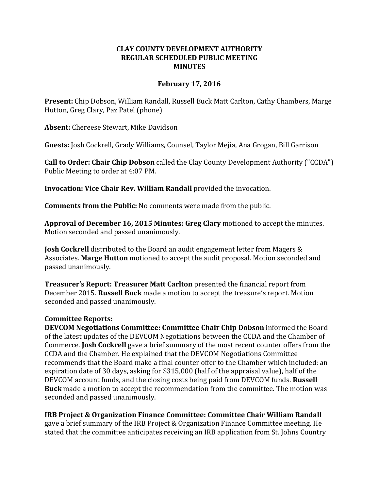## **CLAY COUNTY DEVELOPMENT AUTHORITY REGULAR SCHEDULED PUBLIC MEETING MINUTES**

## **February 17, 2016**

**Present:** Chip Dobson, William Randall, Russell Buck Matt Carlton, Cathy Chambers, Marge Hutton, Greg Clary, Paz Patel (phone)

**Absent:** Chereese Stewart, Mike Davidson

**Guests:** Josh Cockrell, Grady Williams, Counsel, Taylor Mejia, Ana Grogan, Bill Garrison

**Call to Order: Chair Chip Dobson** called the Clay County Development Authority ("CCDA") Public Meeting to order at 4:07 PM.

**Invocation: Vice Chair Rev. William Randall** provided the invocation.

**Comments from the Public:** No comments were made from the public.

**Approval of December 16, 2015 Minutes: Greg Clary** motioned to accept the minutes. Motion seconded and passed unanimously.

**Josh Cockrell** distributed to the Board an audit engagement letter from Magers & Associates. **Marge Hutton** motioned to accept the audit proposal. Motion seconded and passed unanimously.

**Treasurer's Report: Treasurer Matt Carlton** presented the financial report from December 2015. **Russell Buck** made a motion to accept the treasure's report. Motion seconded and passed unanimously.

## **Committee Reports:**

**DEVCOM Negotiations Committee: Committee Chair Chip Dobson** informed the Board of the latest updates of the DEVCOM Negotiations between the CCDA and the Chamber of Commerce. **Josh Cockrell** gave a brief summary of the most recent counter offers from the CCDA and the Chamber. He explained that the DEVCOM Negotiations Committee recommends that the Board make a final counter offer to the Chamber which included: an expiration date of 30 days, asking for \$315,000 (half of the appraisal value), half of the DEVCOM account funds, and the closing costs being paid from DEVCOM funds. **Russell Buck** made a motion to accept the recommendation from the committee. The motion was seconded and passed unanimously.

**IRB Project & Organization Finance Committee: Committee Chair William Randall** 

gave a brief summary of the IRB Project & Organization Finance Committee meeting. He stated that the committee anticipates receiving an IRB application from St. Johns Country